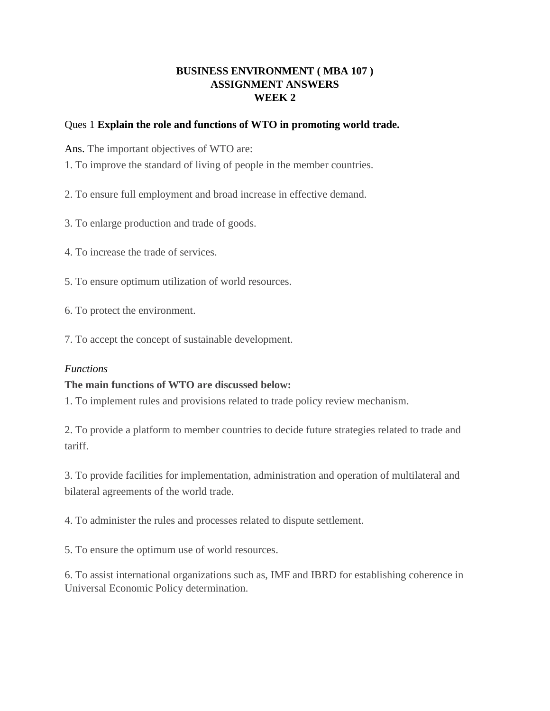# **BUSINESS ENVIRONMENT ( MBA 107 ) ASSIGNMENT ANSWERS WEEK 2**

# Ques 1 **Explain the role and functions of WTO in promoting world trade.**

Ans. The important objectives of WTO are:

- 1. To improve the standard of living of people in the member countries.
- 2. To ensure full employment and broad increase in effective demand.
- 3. To enlarge production and trade of goods.
- 4. To increase the trade of services.
- 5. To ensure optimum utilization of world resources.
- 6. To protect the environment.
- 7. To accept the concept of sustainable development.

# *Functions*

# **The main functions of WTO are discussed below:**

1. To implement rules and provisions related to trade policy review mechanism.

2. To provide a platform to member countries to decide future strategies related to trade and tariff.

3. To provide facilities for implementation, administration and operation of multilateral and bilateral agreements of the world trade.

4. To administer the rules and processes related to dispute settlement.

5. To ensure the optimum use of world resources.

6. To assist international organizations such as, IMF and IBRD for establishing coherence in Universal Economic Policy determination.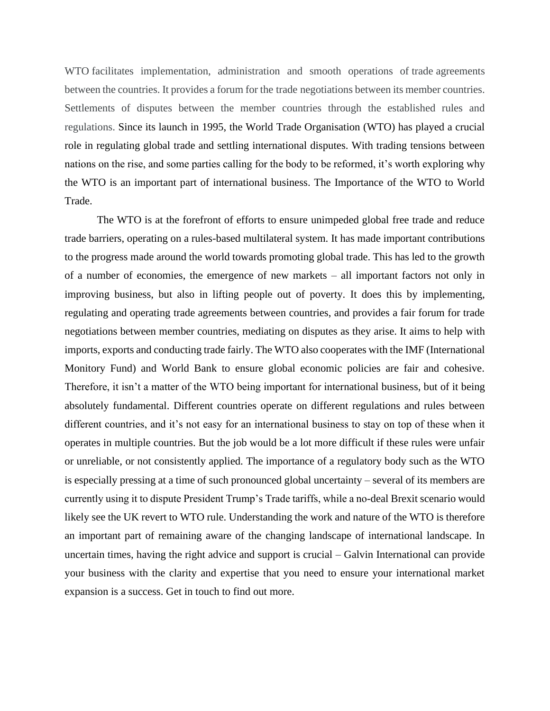WTO facilitates implementation, administration and smooth operations of trade agreements between the countries. It provides a forum for the trade negotiations between its member countries. Settlements of disputes between the member countries through the established rules and regulations. Since its launch in 1995, the World Trade Organisation (WTO) has played a crucial role in regulating global trade and settling international disputes. With trading tensions between nations on the rise, and some parties calling for the body to be reformed, it's worth exploring why the WTO is an important part of international business. The Importance of the WTO to World Trade.

The WTO is at the forefront of efforts to ensure unimpeded global free trade and reduce trade barriers, operating on a rules-based multilateral system. It has made important contributions to the progress made around the world towards promoting global trade. This has led to the growth of a number of economies, the emergence of new markets – all important factors not only in improving business, but also in lifting people out of poverty. It does this by implementing, regulating and operating trade agreements between countries, and provides a fair forum for trade negotiations between member countries, mediating on disputes as they arise. It aims to help with imports, exports and conducting trade fairly. The WTO also cooperates with the IMF (International Monitory Fund) and World Bank to ensure global economic policies are fair and cohesive. Therefore, it isn't a matter of the WTO being important for international business, but of it being absolutely fundamental. Different countries operate on different regulations and rules between different countries, and it's not easy for an international business to stay on top of these when it operates in multiple countries. But the job would be a lot more difficult if these rules were unfair or unreliable, or not consistently applied. The importance of a regulatory body such as the WTO is especially pressing at a time of such pronounced global uncertainty – several of its members are currently using it to dispute President Trump's Trade tariffs, while a no-deal Brexit scenario would likely see the UK revert to WTO rule. Understanding the work and nature of the WTO is therefore an important part of remaining aware of the changing landscape of international landscape. In uncertain times, having the right advice and support is crucial – Galvin International can provide your business with the clarity and expertise that you need to ensure your international market expansion is a success. Get in touch to find out more.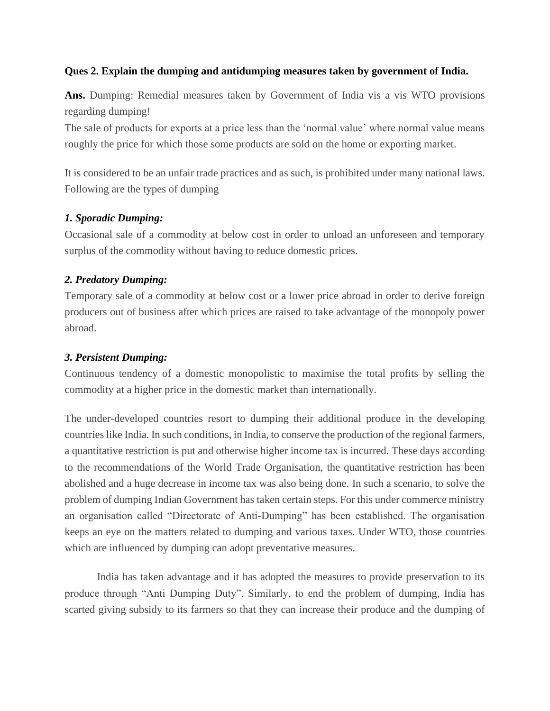# **Ques 2. Explain the dumping and antidumping measures taken by government of India.**

**Ans.** Dumping: Remedial measures taken by Government of India vis a vis WTO provisions regarding dumping!

The sale of products for exports at a price less than the 'normal value' where normal value means roughly the price for which those some products are sold on the home or exporting market.

It is considered to be an unfair trade practices and as such, is prohibited under many national laws. Following are the types of dumping

# *1. Sporadic Dumping:*

Occasional sale of a commodity at below cost in order to unload an unforeseen and temporary surplus of the commodity without having to reduce domestic prices.

# *2. Predatory Dumping:*

Temporary sale of a commodity at below cost or a lower price abroad in order to derive foreign producers out of business after which prices are raised to take advantage of the monopoly power abroad.

# *3. Persistent Dumping:*

Continuous tendency of a domestic monopolistic to maximise the total profits by selling the commodity at a higher price in the domestic market than internationally.

The under-developed countries resort to dumping their additional produce in the developing countries like India. In such conditions, in India, to conserve the production of the regional farmers, a quantitative restriction is put and otherwise higher income tax is incurred. These days according to the recommendations of the World Trade Organisation, the quantitative restriction has been abolished and a huge decrease in income tax was also being done. In such a scenario, to solve the problem of dumping Indian Government has taken certain steps. For this under commerce ministry an organisation called "Directorate of Anti-Dumping" has been established. The organisation keeps an eye on the matters related to dumping and various taxes. Under WTO, those countries which are influenced by dumping can adopt preventative measures.

India has taken advantage and it has adopted the measures to provide preservation to its produce through "Anti Dumping Duty". Similarly, to end the problem of dumping, India has scarted giving subsidy to its farmers so that they can increase their produce and the dumping of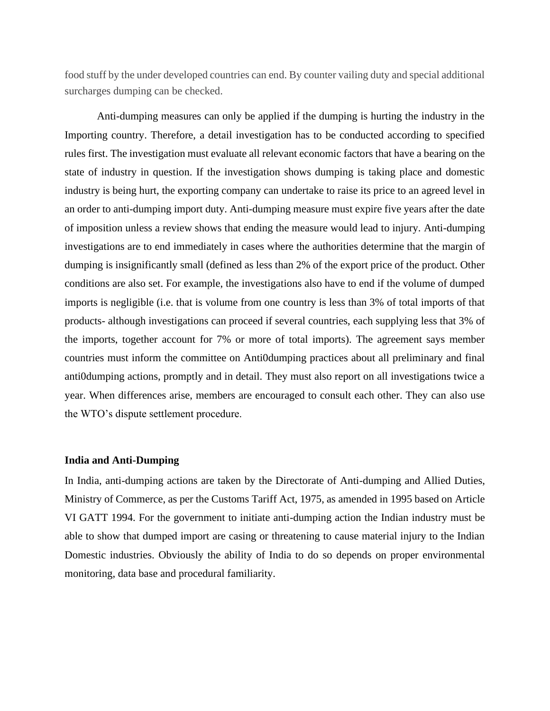food stuff by the under developed countries can end. By counter vailing duty and special additional surcharges dumping can be checked.

Anti-dumping measures can only be applied if the dumping is hurting the industry in the Importing country. Therefore, a detail investigation has to be conducted according to specified rules first. The investigation must evaluate all relevant economic factors that have a bearing on the state of industry in question. If the investigation shows dumping is taking place and domestic industry is being hurt, the exporting company can undertake to raise its price to an agreed level in an order to anti-dumping import duty. Anti-dumping measure must expire five years after the date of imposition unless a review shows that ending the measure would lead to injury. Anti-dumping investigations are to end immediately in cases where the authorities determine that the margin of dumping is insignificantly small (defined as less than 2% of the export price of the product. Other conditions are also set. For example, the investigations also have to end if the volume of dumped imports is negligible (i.e. that is volume from one country is less than 3% of total imports of that products- although investigations can proceed if several countries, each supplying less that 3% of the imports, together account for 7% or more of total imports). The agreement says member countries must inform the committee on Anti0dumping practices about all preliminary and final anti0dumping actions, promptly and in detail. They must also report on all investigations twice a year. When differences arise, members are encouraged to consult each other. They can also use the WTO's dispute settlement procedure.

#### **India and Anti-Dumping**

In India, anti-dumping actions are taken by the Directorate of Anti-dumping and Allied Duties, Ministry of Commerce, as per the Customs Tariff Act, 1975, as amended in 1995 based on Article VI GATT 1994. For the government to initiate anti-dumping action the Indian industry must be able to show that dumped import are casing or threatening to cause material injury to the Indian Domestic industries. Obviously the ability of India to do so depends on proper environmental monitoring, data base and procedural familiarity.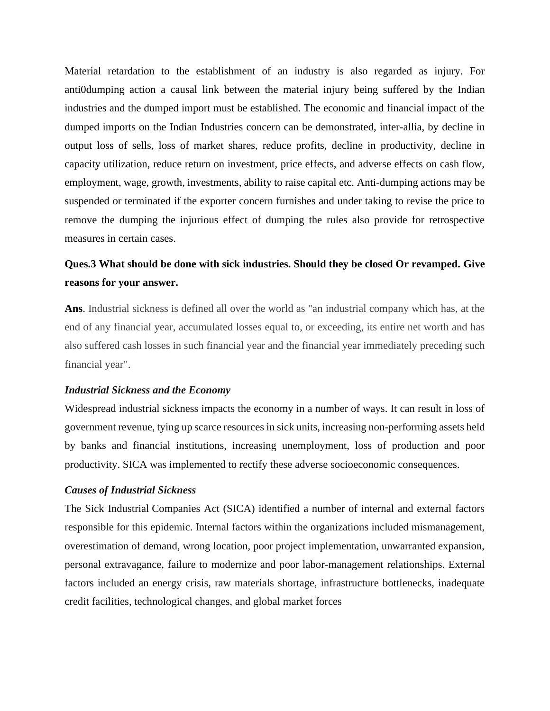Material retardation to the establishment of an industry is also regarded as injury. For anti0dumping action a causal link between the material injury being suffered by the Indian industries and the dumped import must be established. The economic and financial impact of the dumped imports on the Indian Industries concern can be demonstrated, inter-allia, by decline in output loss of sells, loss of market shares, reduce profits, decline in productivity, decline in capacity utilization, reduce return on investment, price effects, and adverse effects on cash flow, employment, wage, growth, investments, ability to raise capital etc. Anti-dumping actions may be suspended or terminated if the exporter concern furnishes and under taking to revise the price to remove the dumping the injurious effect of dumping the rules also provide for retrospective measures in certain cases.

# **Ques.3 What should be done with sick industries. Should they be closed Or revamped. Give reasons for your answer.**

**Ans**. Industrial sickness is defined all over the world as "an industrial company which has, at the end of any financial year, accumulated losses equal to, or exceeding, its entire net worth and has also suffered cash losses in such financial year and the financial year immediately preceding such financial year".

#### *Industrial Sickness and the Economy*

Widespread industrial sickness impacts the economy in a number of ways. It can result in loss of government revenue, tying up scarce resources in sick units, increasing non-performing assets held by banks and financial institutions, increasing unemployment, loss of production and poor productivity. SICA was implemented to rectify these adverse socioeconomic consequences.

#### *Causes of Industrial Sickness*

The Sick Industrial Companies Act (SICA) identified a number of internal and external factors responsible for this epidemic. Internal factors within the organizations included mismanagement, overestimation of demand, wrong location, poor project implementation, unwarranted expansion, personal extravagance, failure to modernize and poor labor-management relationships. External factors included an energy crisis, raw materials shortage, infrastructure bottlenecks, inadequate credit facilities, technological changes, and global market forces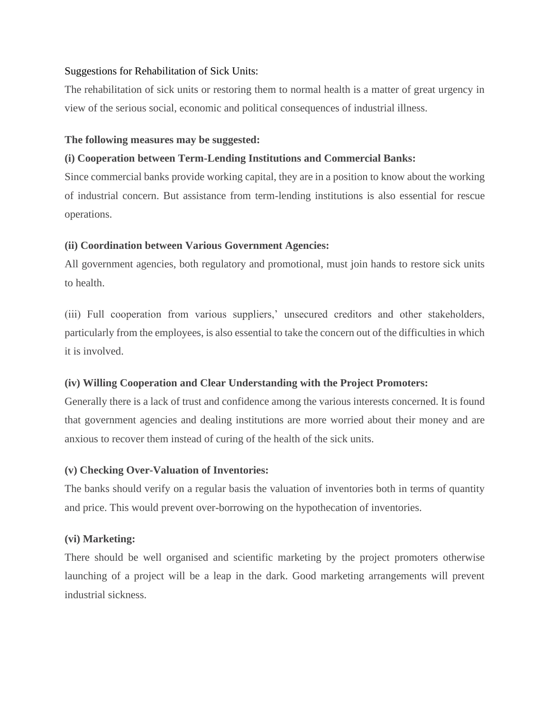# Suggestions for Rehabilitation of Sick Units:

The rehabilitation of sick units or restoring them to normal health is a matter of great urgency in view of the serious social, economic and political consequences of industrial illness.

#### **The following measures may be suggested:**

## **(i) Cooperation between Term-Lending Institutions and Commercial Banks:**

Since commercial banks provide working capital, they are in a position to know about the working of industrial concern. But assistance from term-lending institutions is also essential for rescue operations.

## **(ii) Coordination between Various Government Agencies:**

All government agencies, both regulatory and promotional, must join hands to restore sick units to health.

(iii) Full cooperation from various suppliers,' unsecured creditors and other stakeholders, particularly from the employees, is also essential to take the concern out of the difficulties in which it is involved.

# **(iv) Willing Cooperation and Clear Understanding with the Project Promoters:**

Generally there is a lack of trust and confidence among the various interests concerned. It is found that government agencies and dealing institutions are more worried about their money and are anxious to recover them instead of curing of the health of the sick units.

#### **(v) Checking Over-Valuation of Inventories:**

The banks should verify on a regular basis the valuation of inventories both in terms of quantity and price. This would prevent over-borrowing on the hypothecation of inventories.

#### **(vi) Marketing:**

There should be well organised and scientific marketing by the project promoters otherwise launching of a project will be a leap in the dark. Good marketing arrangements will prevent industrial sickness.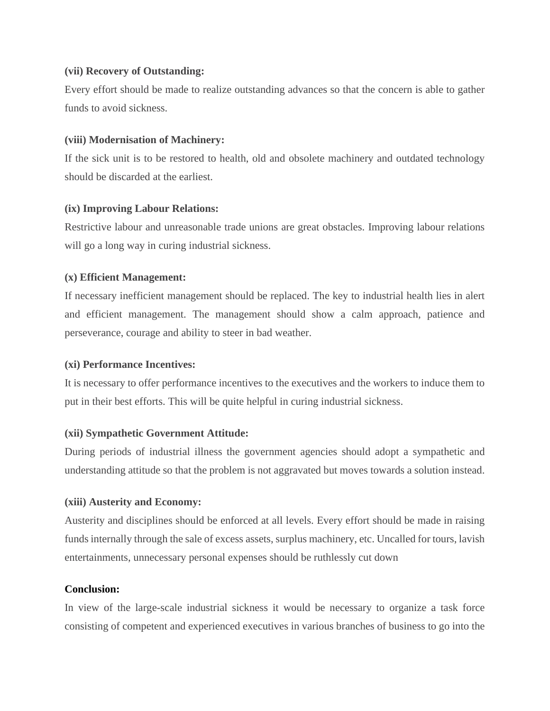# **(vii) Recovery of Outstanding:**

Every effort should be made to realize outstanding advances so that the concern is able to gather funds to avoid sickness.

## **(viii) Modernisation of Machinery:**

If the sick unit is to be restored to health, old and obsolete machinery and outdated technology should be discarded at the earliest.

## **(ix) Improving Labour Relations:**

Restrictive labour and unreasonable trade unions are great obstacles. Improving labour relations will go a long way in curing industrial sickness.

# **(x) Efficient Management:**

If necessary inefficient management should be replaced. The key to industrial health lies in alert and efficient management. The management should show a calm approach, patience and perseverance, courage and ability to steer in bad weather.

# **(xi) Performance Incentives:**

It is necessary to offer performance incentives to the executives and the workers to induce them to put in their best efforts. This will be quite helpful in curing industrial sickness.

# **(xii) Sympathetic Government Attitude:**

During periods of industrial illness the government agencies should adopt a sympathetic and understanding attitude so that the problem is not aggravated but moves towards a solution instead.

# **(xiii) Austerity and Economy:**

Austerity and disciplines should be enforced at all levels. Every effort should be made in raising funds internally through the sale of excess assets, surplus machinery, etc. Uncalled for tours, lavish entertainments, unnecessary personal expenses should be ruthlessly cut down

## **Conclusion:**

In view of the large-scale industrial sickness it would be necessary to organize a task force consisting of competent and experienced executives in various branches of business to go into the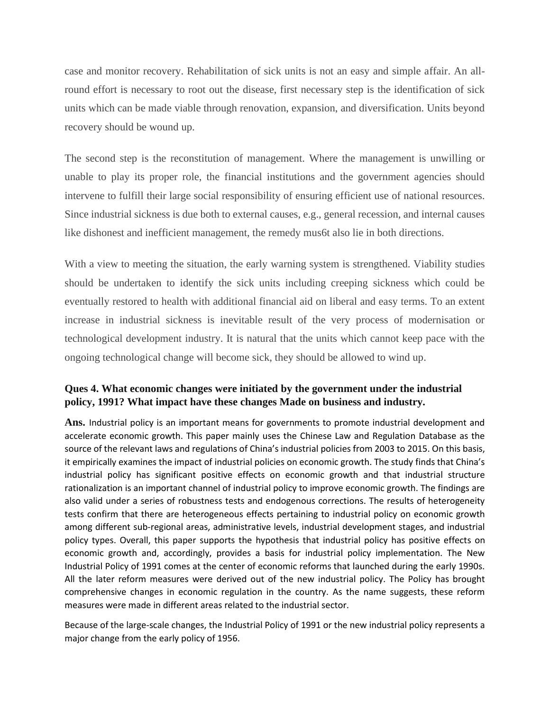case and monitor recovery. Rehabilitation of sick units is not an easy and simple affair. An allround effort is necessary to root out the disease, first necessary step is the identification of sick units which can be made viable through renovation, expansion, and diversification. Units beyond recovery should be wound up.

The second step is the reconstitution of management. Where the management is unwilling or unable to play its proper role, the financial institutions and the government agencies should intervene to fulfill their large social responsibility of ensuring efficient use of national resources. Since industrial sickness is due both to external causes, e.g., general recession, and internal causes like dishonest and inefficient management, the remedy mus6t also lie in both directions.

With a view to meeting the situation, the early warning system is strengthened. Viability studies should be undertaken to identify the sick units including creeping sickness which could be eventually restored to health with additional financial aid on liberal and easy terms. To an extent increase in industrial sickness is inevitable result of the very process of modernisation or technological development industry. It is natural that the units which cannot keep pace with the ongoing technological change will become sick, they should be allowed to wind up.

# **Ques 4. What economic changes were initiated by the government under the industrial policy, 1991? What impact have these changes Made on business and industry.**

**Ans.** Industrial policy is an important means for governments to promote industrial development and accelerate economic growth. This paper mainly uses the Chinese Law and Regulation Database as the source of the relevant laws and regulations of China's industrial policies from 2003 to 2015. On this basis, it empirically examines the impact of industrial policies on economic growth. The study finds that China's industrial policy has significant positive effects on economic growth and that industrial structure rationalization is an important channel of industrial policy to improve economic growth. The findings are also valid under a series of robustness tests and endogenous corrections. The results of heterogeneity tests confirm that there are heterogeneous effects pertaining to industrial policy on economic growth among different sub-regional areas, administrative levels, industrial development stages, and industrial policy types. Overall, this paper supports the hypothesis that industrial policy has positive effects on economic growth and, accordingly, provides a basis for industrial policy implementation. The New Industrial Policy of 1991 comes at the center of economic reforms that launched during the early 1990s. All the later reform measures were derived out of the new industrial policy. The Policy has brought comprehensive changes in economic regulation in the country. As the name suggests, these reform measures were made in different areas related to the industrial sector.

Because of the large-scale changes, the Industrial Policy of 1991 or the new industrial policy represents a major change from the early policy of 1956.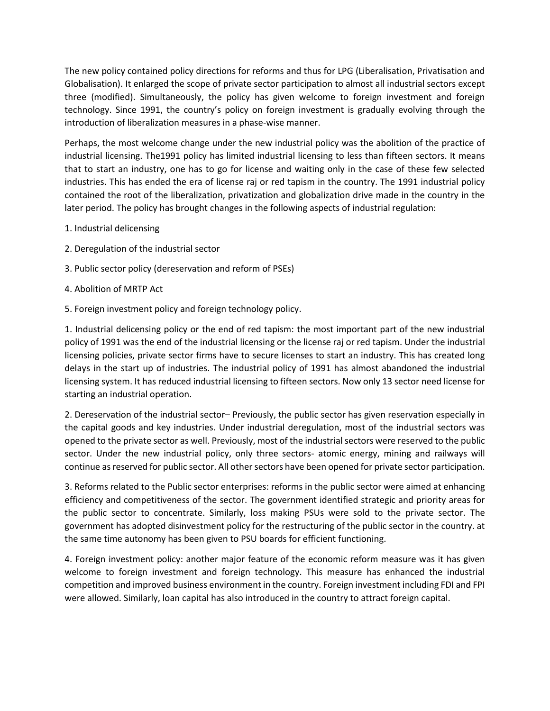The new policy contained policy directions for reforms and thus for LPG (Liberalisation, Privatisation and Globalisation). It enlarged the scope of private sector participation to almost all industrial sectors except three (modified). Simultaneously, the policy has given welcome to foreign investment and foreign technology. Since 1991, the country's policy on foreign investment is gradually evolving through the introduction of liberalization measures in a phase-wise manner.

Perhaps, the most welcome change under the new industrial policy was the abolition of the practice of industrial licensing. The1991 policy has limited industrial licensing to less than fifteen sectors. It means that to start an industry, one has to go for license and waiting only in the case of these few selected industries. This has ended the era of license raj or red tapism in the country. The 1991 industrial policy contained the root of the liberalization, privatization and globalization drive made in the country in the later period. The policy has brought changes in the following aspects of industrial regulation:

- 1. Industrial delicensing
- 2. Deregulation of the industrial sector
- 3. Public sector policy (dereservation and reform of PSEs)
- 4. Abolition of MRTP Act
- 5. Foreign investment policy and foreign technology policy.

1. Industrial delicensing policy or the end of red tapism: the most important part of the new industrial policy of 1991 was the end of the industrial licensing or the license raj or red tapism. Under the industrial licensing policies, private sector firms have to secure licenses to start an industry. This has created long delays in the start up of industries. The industrial policy of 1991 has almost abandoned the industrial licensing system. It has reduced industrial licensing to fifteen sectors. Now only 13 sector need license for starting an industrial operation.

2. Dereservation of the industrial sector– Previously, the public sector has given reservation especially in the capital goods and key industries. Under industrial deregulation, most of the industrial sectors was opened to the private sector as well. Previously, most of the industrial sectors were reserved to the public sector. Under the new industrial policy, only three sectors- atomic energy, mining and railways will continue as reserved for public sector. All other sectors have been opened for private sector participation.

3. Reforms related to the Public sector enterprises: reforms in the public sector were aimed at enhancing efficiency and competitiveness of the sector. The government identified strategic and priority areas for the public sector to concentrate. Similarly, loss making PSUs were sold to the private sector. The government has adopted disinvestment policy for the restructuring of the public sector in the country. at the same time autonomy has been given to PSU boards for efficient functioning.

4. Foreign investment policy: another major feature of the economic reform measure was it has given welcome to foreign investment and foreign technology. This measure has enhanced the industrial competition and improved business environment in the country. Foreign investment including FDI and FPI were allowed. Similarly, loan capital has also introduced in the country to attract foreign capital.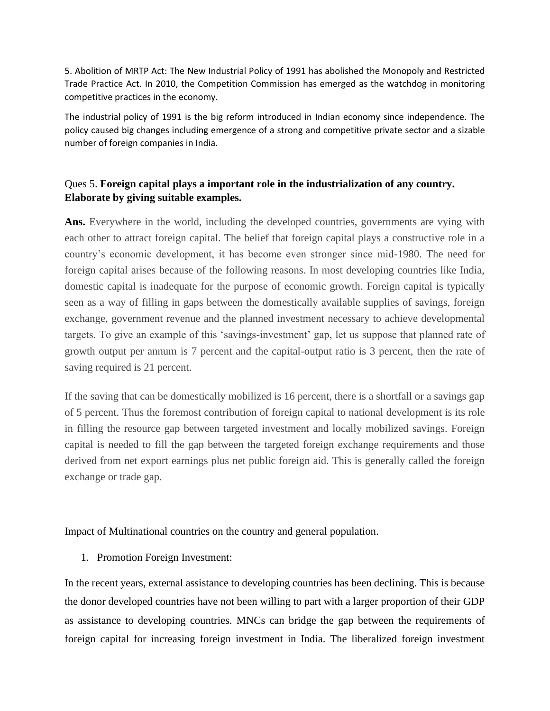5. Abolition of MRTP Act: The New Industrial Policy of 1991 has abolished the Monopoly and Restricted Trade Practice Act. In 2010, the Competition Commission has emerged as the watchdog in monitoring competitive practices in the economy.

The industrial policy of 1991 is the big reform introduced in Indian economy since independence. The policy caused big changes including emergence of a strong and competitive private sector and a sizable number of foreign companies in India.

# Ques 5. **Foreign capital plays a important role in the industrialization of any country. Elaborate by giving suitable examples.**

Ans. Everywhere in the world, including the developed countries, governments are vying with each other to attract foreign capital. The belief that foreign capital plays a constructive role in a country's economic development, it has become even stronger since mid-1980. The need for foreign capital arises because of the following reasons. In most developing countries like India, domestic capital is inadequate for the purpose of economic growth. Foreign capital is typically seen as a way of filling in gaps between the domestically available supplies of savings, foreign exchange, government revenue and the planned investment necessary to achieve developmental targets. To give an example of this 'savings-investment' gap, let us suppose that planned rate of growth output per annum is 7 percent and the capital-output ratio is 3 percent, then the rate of saving required is 21 percent.

If the saving that can be domestically mobilized is 16 percent, there is a shortfall or a savings gap of 5 percent. Thus the foremost contribution of foreign capital to national development is its role in filling the resource gap between targeted investment and locally mobilized savings. Foreign capital is needed to fill the gap between the targeted foreign exchange requirements and those derived from net export earnings plus net public foreign aid. This is generally called the foreign exchange or trade gap.

Impact of Multinational countries on the country and general population.

1. Promotion Foreign Investment:

In the recent years, external assistance to developing countries has been declining. This is because the donor developed countries have not been willing to part with a larger proportion of their GDP as assistance to developing countries. MNCs can bridge the gap between the requirements of foreign capital for increasing foreign investment in India. The liberalized foreign investment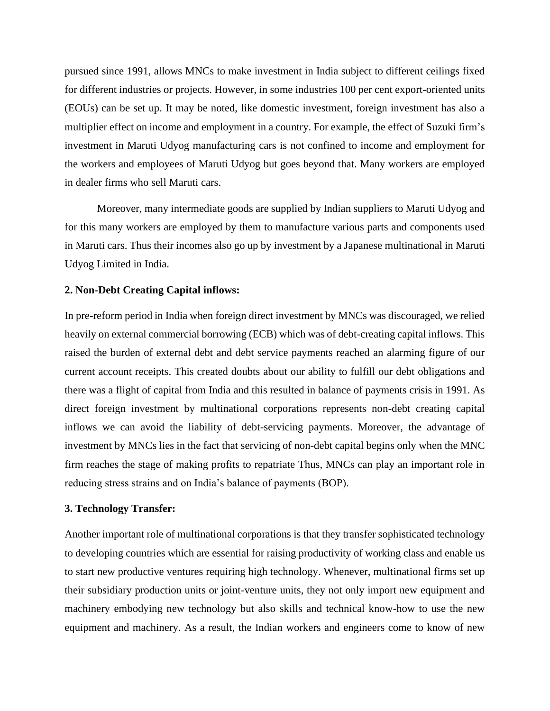pursued since 1991, allows MNCs to make investment in India subject to different ceilings fixed for different industries or projects. However, in some industries 100 per cent export-oriented units (EOUs) can be set up. It may be noted, like domestic investment, foreign investment has also a multiplier effect on income and employment in a country. For example, the effect of Suzuki firm's investment in Maruti Udyog manufacturing cars is not confined to income and employment for the workers and employees of Maruti Udyog but goes beyond that. Many workers are employed in dealer firms who sell Maruti cars.

Moreover, many intermediate goods are supplied by Indian suppliers to Maruti Udyog and for this many workers are employed by them to manufacture various parts and components used in Maruti cars. Thus their incomes also go up by investment by a Japanese multinational in Maruti Udyog Limited in India.

## **2. Non-Debt Creating Capital inflows:**

In pre-reform period in India when foreign direct investment by MNCs was discouraged, we relied heavily on external commercial borrowing (ECB) which was of debt-creating capital inflows. This raised the burden of external debt and debt service payments reached an alarming figure of our current account receipts. This created doubts about our ability to fulfill our debt obligations and there was a flight of capital from India and this resulted in balance of payments crisis in 1991. As direct foreign investment by multinational corporations represents non-debt creating capital inflows we can avoid the liability of debt-servicing payments. Moreover, the advantage of investment by MNCs lies in the fact that servicing of non-debt capital begins only when the MNC firm reaches the stage of making profits to repatriate Thus, MNCs can play an important role in reducing stress strains and on India's balance of payments (BOP).

#### **3. Technology Transfer:**

Another important role of multinational corporations is that they transfer sophisticated technology to developing countries which are essential for raising productivity of working class and enable us to start new productive ventures requiring high technology. Whenever, multinational firms set up their subsidiary production units or joint-venture units, they not only import new equipment and machinery embodying new technology but also skills and technical know-how to use the new equipment and machinery. As a result, the Indian workers and engineers come to know of new